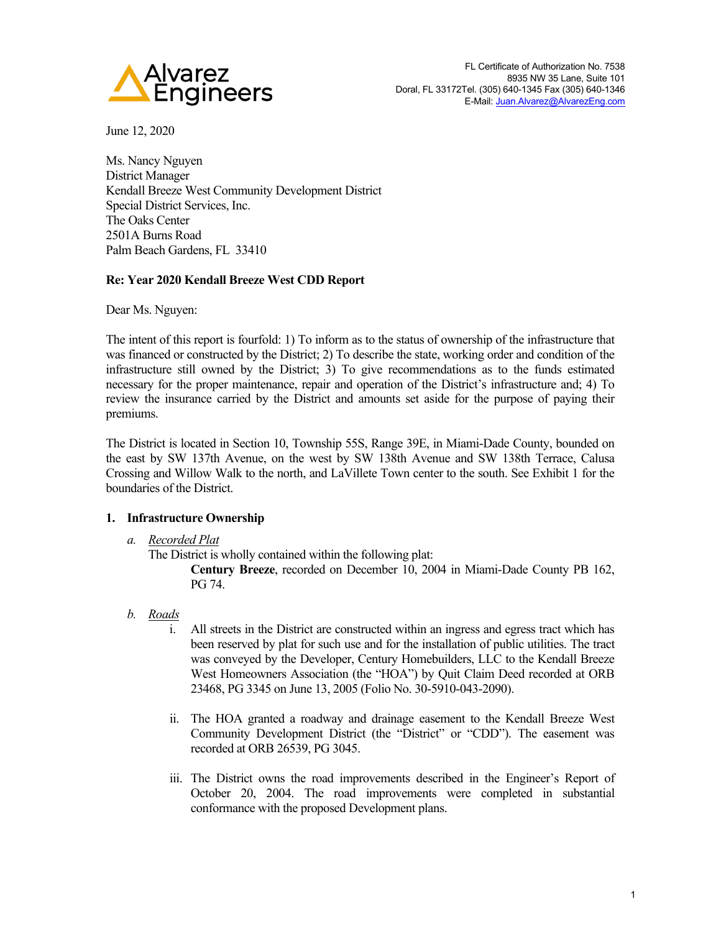

June 12, 2020

Ms. Nancy Nguyen District Manager Kendall Breeze West Community Development District Special District Services, Inc. The Oaks Center 2501A Burns Road Palm Beach Gardens, FL 33410

# **Re: Year 2020 Kendall Breeze West CDD Report**

Dear Ms. Nguyen:

The intent of this report is fourfold: 1) To inform as to the status of ownership of the infrastructure that was financed or constructed by the District; 2) To describe the state, working order and condition of the infrastructure still owned by the District; 3) To give recommendations as to the funds estimated necessary for the proper maintenance, repair and operation of the District's infrastructure and; 4) To review the insurance carried by the District and amounts set aside for the purpose of paying their premiums.

The District is located in Section 10, Township 55S, Range 39E, in Miami-Dade County, bounded on the east by SW 137th Avenue, on the west by SW 138th Avenue and SW 138th Terrace, Calusa Crossing and Willow Walk to the north, and LaVillete Town center to the south. See Exhibit 1 for the boundaries of the District.

# **1. Infrastructure Ownership**

### *a. Recorded Plat*

The District is wholly contained within the following plat:

**Century Breeze**, recorded on December 10, 2004 in Miami-Dade County PB 162, PG 74.

# *b. Roads*

- i. All streets in the District are constructed within an ingress and egress tract which has been reserved by plat for such use and for the installation of public utilities. The tract was conveyed by the Developer, Century Homebuilders, LLC to the Kendall Breeze West Homeowners Association (the "HOA") by Quit Claim Deed recorded at ORB 23468, PG 3345 on June 13, 2005 (Folio No. 30-5910-043-2090).
- ii. The HOA granted a roadway and drainage easement to the Kendall Breeze West Community Development District (the "District" or "CDD"). The easement was recorded at ORB 26539, PG 3045.
- iii. The District owns the road improvements described in the Engineer's Report of October 20, 2004. The road improvements were completed in substantial conformance with the proposed Development plans.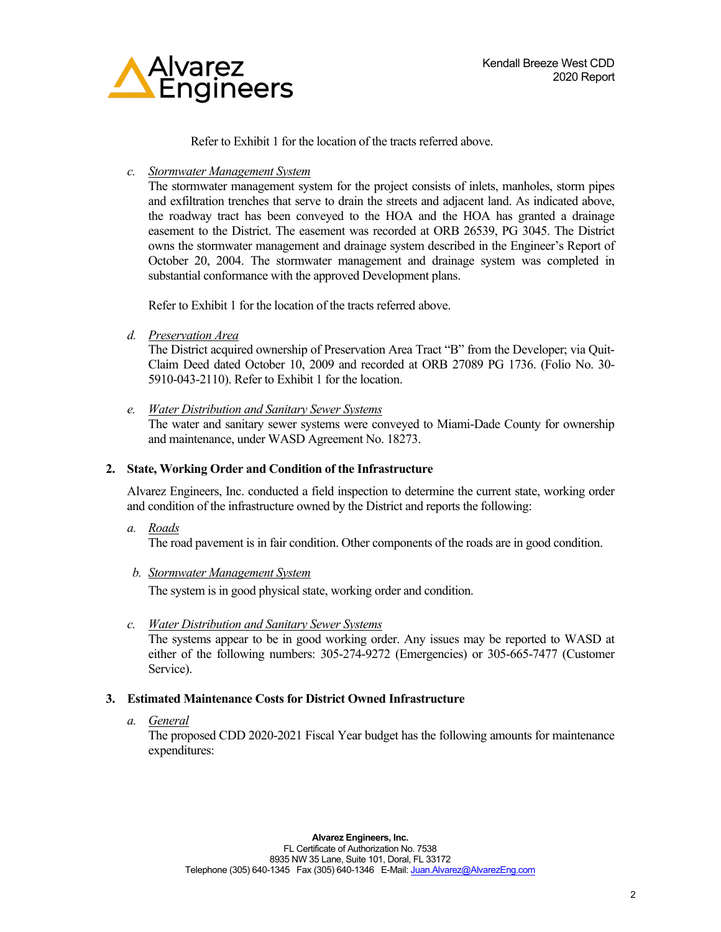

Refer to Exhibit 1 for the location of the tracts referred above.

*c. Stormwater Management System*

The stormwater management system for the project consists of inlets, manholes, storm pipes and exfiltration trenches that serve to drain the streets and adjacent land. As indicated above, the roadway tract has been conveyed to the HOA and the HOA has granted a drainage easement to the District. The easement was recorded at ORB 26539, PG 3045. The District owns the stormwater management and drainage system described in the Engineer's Report of October 20, 2004. The stormwater management and drainage system was completed in substantial conformance with the approved Development plans.

Refer to Exhibit 1 for the location of the tracts referred above.

*d. Preservation Area*

The District acquired ownership of Preservation Area Tract "B" from the Developer; via Quit-Claim Deed dated October 10, 2009 and recorded at ORB 27089 PG 1736. (Folio No. 30- 5910-043-2110). Refer to Exhibit 1 for the location.

*e. Water Distribution and Sanitary Sewer Systems*

The water and sanitary sewer systems were conveyed to Miami-Dade County for ownership and maintenance, under WASD Agreement No. 18273.

## **2. State, Working Order and Condition of the Infrastructure**

Alvarez Engineers, Inc. conducted a field inspection to determine the current state, working order and condition of the infrastructure owned by the District and reports the following:

*a. Roads*

The road pavement is in fair condition. Other components of the roads are in good condition.

*b. Stormwater Management System*

The system is in good physical state, working order and condition.

*c. Water Distribution and Sanitary Sewer Systems*

The systems appear to be in good working order. Any issues may be reported to WASD at either of the following numbers: 305-274-9272 (Emergencies) or 305-665-7477 (Customer Service).

# **3. Estimated Maintenance Costs for District Owned Infrastructure**

*a. General*

The proposed CDD 2020-2021 Fiscal Year budget has the following amounts for maintenance expenditures: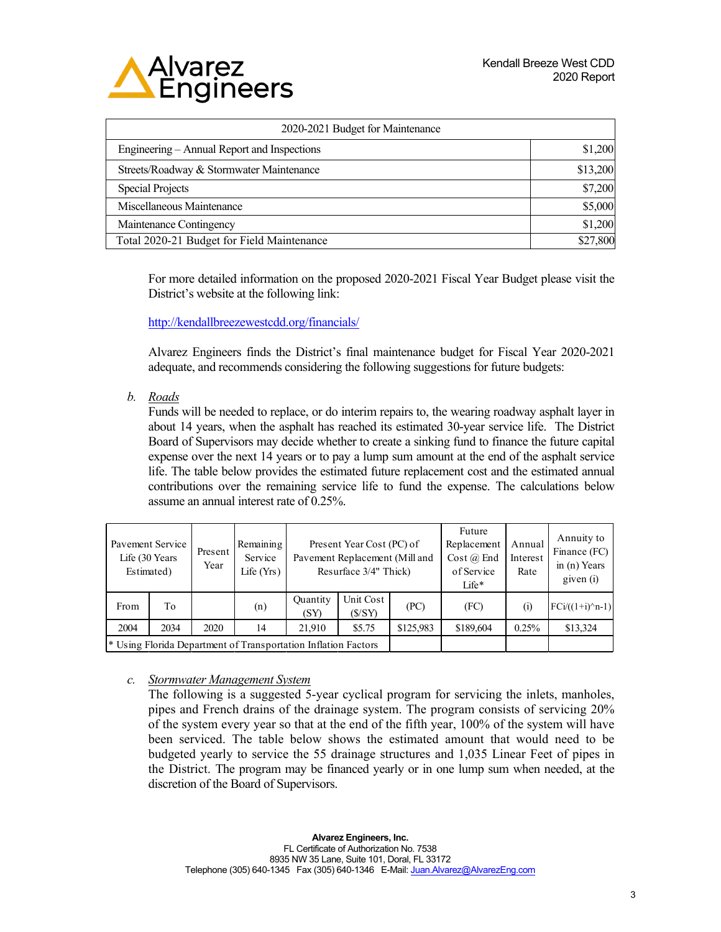

| 2020-2021 Budget for Maintenance            |          |  |  |  |  |
|---------------------------------------------|----------|--|--|--|--|
| Engineering - Annual Report and Inspections | \$1,200  |  |  |  |  |
| Streets/Roadway & Stormwater Maintenance    | \$13,200 |  |  |  |  |
| <b>Special Projects</b>                     | \$7,200  |  |  |  |  |
| Miscellaneous Maintenance                   | \$5,000  |  |  |  |  |
| Maintenance Contingency                     | \$1,200  |  |  |  |  |
| Total 2020-21 Budget for Field Maintenance  | \$27,800 |  |  |  |  |

For more detailed information on the proposed 2020-2021 Fiscal Year Budget please visit the District's website at the following link:

<http://kendallbreezewestcdd.org/financials/>

Alvarez Engineers finds the District's final maintenance budget for Fiscal Year 2020-2021 adequate, and recommends considering the following suggestions for future budgets:

*b. Roads* 

Funds will be needed to replace, or do interim repairs to, the wearing roadway asphalt layer in about 14 years, when the asphalt has reached its estimated 30-year service life. The District Board of Supervisors may decide whether to create a sinking fund to finance the future capital expense over the next 14 years or to pay a lump sum amount at the end of the asphalt service life. The table below provides the estimated future replacement cost and the estimated annual contributions over the remaining service life to fund the expense. The calculations below assume an annual interest rate of 0.25%.

| Pavement Service<br>Life (30 Years)<br>Estimated) |      | Present<br>Year | Remaining<br>Service<br>Life $(Yrs)$                                      | Present Year Cost (PC) of<br>Pavement Replacement (Mill and<br>Resurface 3/4" Thick) |                     |           | Future<br>Replacement<br>Cost $(a)$ End<br>of Service<br>$Life*$ | Annual<br>Interest<br>Rate | Annuity to<br>Finance (FC)<br>in $(n)$ Years<br>given (i) |
|---------------------------------------------------|------|-----------------|---------------------------------------------------------------------------|--------------------------------------------------------------------------------------|---------------------|-----------|------------------------------------------------------------------|----------------------------|-----------------------------------------------------------|
| From                                              | Tо   |                 | (n)                                                                       | Quantity<br>(SY)                                                                     | Unit Cost<br>(S/SY) | (PC)      | (FC)                                                             | (i)                        | $FCi/((1+i)^n-1)$                                         |
| 2004                                              | 2034 | 2020            | 14                                                                        | 21.910                                                                               | \$5.75              | \$125,983 | \$189,604                                                        | 0.25%                      | \$13,324                                                  |
|                                                   |      |                 | <sup>*</sup> Using Florida Department of Transportation Inflation Factors |                                                                                      |                     |           |                                                                  |                            |                                                           |

*c. Stormwater Management System*

The following is a suggested 5-year cyclical program for servicing the inlets, manholes, pipes and French drains of the drainage system. The program consists of servicing 20% of the system every year so that at the end of the fifth year, 100% of the system will have been serviced. The table below shows the estimated amount that would need to be budgeted yearly to service the 55 drainage structures and 1,035 Linear Feet of pipes in the District. The program may be financed yearly or in one lump sum when needed, at the discretion of the Board of Supervisors.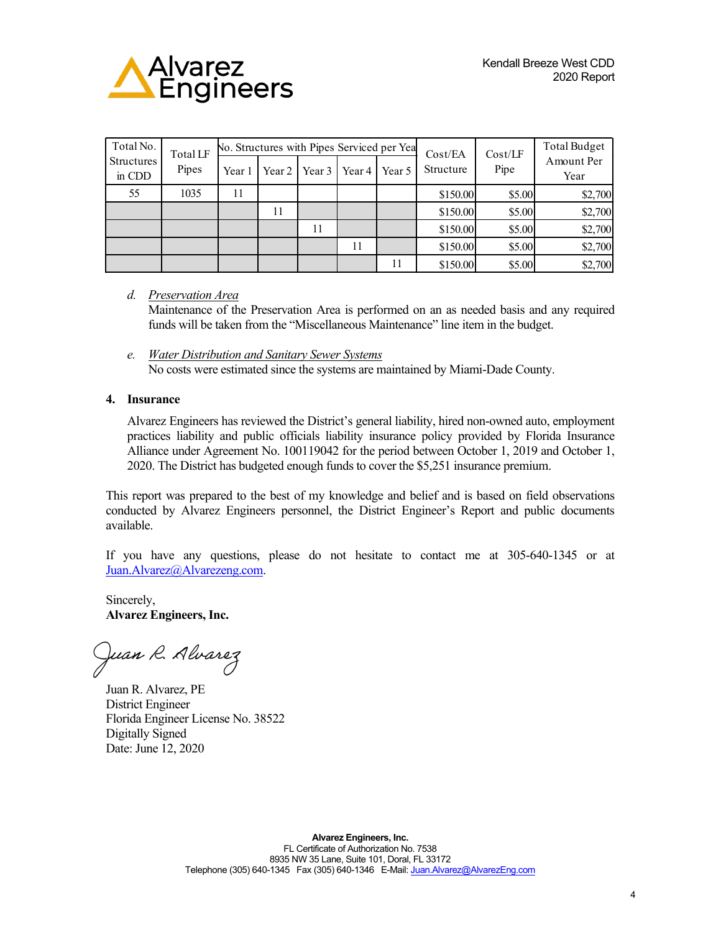

| Total No.<br><b>Structures</b><br>in CDD | Total LF<br>Pipes | No. Structures with Pipes Serviced per Yea |          |          |        |        | Cost/EA   | Cost/LF | <b>Total Budget</b> |
|------------------------------------------|-------------------|--------------------------------------------|----------|----------|--------|--------|-----------|---------|---------------------|
|                                          |                   | Year 1                                     | Year $2$ | Year $3$ | Year 4 | Year 5 | Structure | Pipe    | Amount Per<br>Year  |
| 55                                       | 1035              | 11                                         |          |          |        |        | \$150.00  | \$5.00  | \$2,700             |
|                                          |                   |                                            | 11       |          |        |        | \$150.00  | \$5.00  | \$2,700             |
|                                          |                   |                                            |          | 11       |        |        | \$150.00  | \$5.00  | \$2,700             |
|                                          |                   |                                            |          |          | 11     |        | \$150.00  | \$5.00  | \$2,700             |
|                                          |                   |                                            |          |          |        | 11     | \$150.00  | \$5.00  | \$2,700             |

*d. Preservation Area*

Maintenance of the Preservation Area is performed on an as needed basis and any required funds will be taken from the "Miscellaneous Maintenance" line item in the budget.

*e. Water Distribution and Sanitary Sewer Systems*  No costs were estimated since the systems are maintained by Miami-Dade County.

#### **4. Insurance**

Alvarez Engineers has reviewed the District's general liability, hired non-owned auto, employment practices liability and public officials liability insurance policy provided by Florida Insurance Alliance under Agreement No. 100119042 for the period between October 1, 2019 and October 1, 2020. The District has budgeted enough funds to cover the \$5,251 insurance premium.

This report was prepared to the best of my knowledge and belief and is based on field observations conducted by Alvarez Engineers personnel, the District Engineer's Report and public documents available.

If you have any questions, please do not hesitate to contact me at 305-640-1345 or at [Juan.Alvarez@Alvarezeng.com.](mailto:Juan.Alvarez@Alvarezeng.com) 

Sincerely, **Alvarez Engineers, Inc.**

Juan R. Alvarez

Juan R. Alvarez, PE District Engineer Florida Engineer License No. 38522 Digitally Signed Date: June 12, 2020